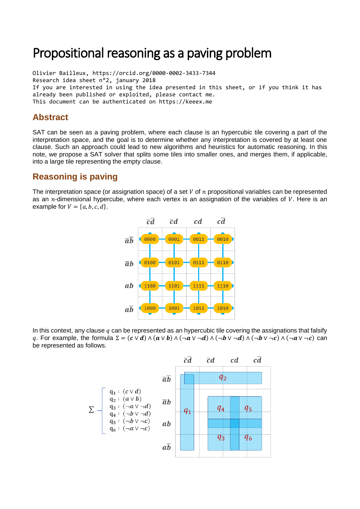# Propositional reasoning as a paving problem

Olivier Bailleux, https://orcid.org/0000-0002-3433-7344 Research idea sheet n°2, january 2018 If you are interested in using the idea presented in this sheet, or if you think it has already been published or exploited, please contact me. This document can be authenticated on https://keeex.me

#### **Abstract**

SAT can be seen as a paving problem, where each clause is an hypercubic tile covering a part of the interpretation space, and the goal is to determine whether any interpretation is covered by at least one clause. Such an approach could lead to new algorithms and heuristics for automatic reasoning. In this note, we propose a SAT solver that splits some tiles into smaller ones, and merges them, if applicable, into a large tile representing the empty clause.

## **Reasoning is paving**

The interpretation space (or assignation space) of a set  $V$  of  $n$  propositional variables can be represented as an  $n$ -dimensional hypercube, where each vertex is an assignation of the variables of V. Here is an example for  $V = \{a, b, c, d\}.$ 



In this context, any clause  $q$  can be represented as an hypercubic tile covering the assignations that falsify q. For example, the formula  $\Sigma = (c \vee d) \wedge (a \vee b) \wedge (\neg a \vee \neg d) \wedge (\neg b \vee \neg d) \wedge (\neg b \vee \neg c) \wedge (\neg a \vee \neg c)$  can be represented as follows.

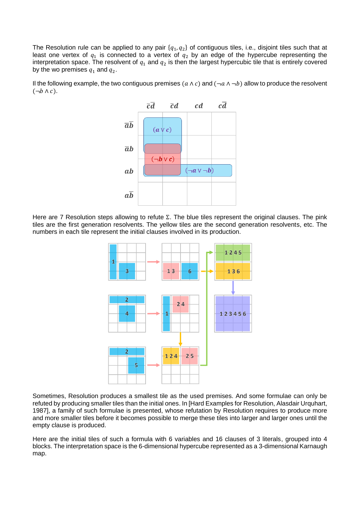The Resolution rule can be applied to any pair  $\{q_1, q_2\}$  of contiguous tiles, i.e., disjoint tiles such that at least one vertex of  $q_1$  is connected to a vertex of  $q_2$  by an edge of the hypercube representing the interpretation space. The resolvent of  $q_1$  and  $q_2$  is then the largest hypercubic tile that is entirely covered by the wo premises  $q_1$  and  $q_2$ .

Il the following example, the two contiguous premises  $(a \wedge c)$  and  $(\neg a \wedge \neg b)$  allow to produce the resolvent  $(\neg b \land c)$ .



Here are 7 Resolution steps allowing to refute Σ. The blue tiles represent the original clauses. The pink tiles are the first generation resolvents. The yellow tiles are the second generation resolvents, etc. The numbers in each tile represent the initial clauses involved in its production.



Sometimes, Resolution produces a smallest tile as the used premises. And some formulae can only be refuted by producing smaller tiles than the initial ones. In [Hard Examples for Resolution, Alasdair Urquhart, 1987], a family of such formulae is presented, whose refutation by Resolution requires to produce more and more smaller tiles before it becomes possible to merge these tiles into larger and larger ones until the empty clause is produced.

Here are the initial tiles of such a formula with 6 variables and 16 clauses of 3 literals, grouped into 4 blocks. The interpretation space is the 6-dimensional hypercube represented as a 3-dimensional Karnaugh map.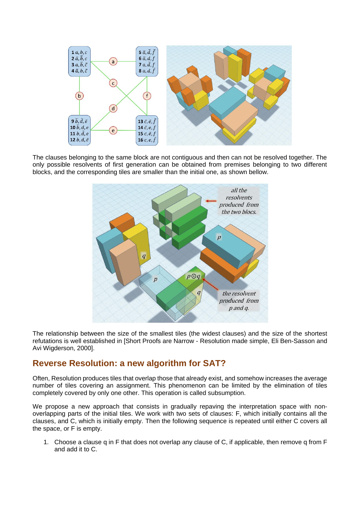

The clauses belonging to the same block are not contiguous and then can not be resolved together. The only possible resolvents of first generation can be obtained from premises belonging to two different blocks, and the corresponding tiles are smaller than the initial one, as shown bellow.



The relationship between the size of the smallest tiles (the widest clauses) and the size of the shortest refutations is well established in [Short Proofs are Narrow - Resolution made simple, Eli Ben-Sasson and Avi Wigderson, 2000].

#### **Reverse Resolution: a new algorithm for SAT?**

Often, Resolution produces tiles that overlap those that already exist, and somehow increases the average number of tiles covering an assignment. This phenomenon can be limited by the elimination of tiles completely covered by only one other. This operation is called subsumption.

We propose a new approach that consists in gradually repaving the interpretation space with nonoverlapping parts of the initial tiles. We work with two sets of clauses: F, which initially contains all the clauses, and C, which is initially empty. Then the following sequence is repeated until either C covers all the space, or F is empty.

1. Choose a clause q in F that does not overlap any clause of C, if applicable, then remove q from F and add it to C.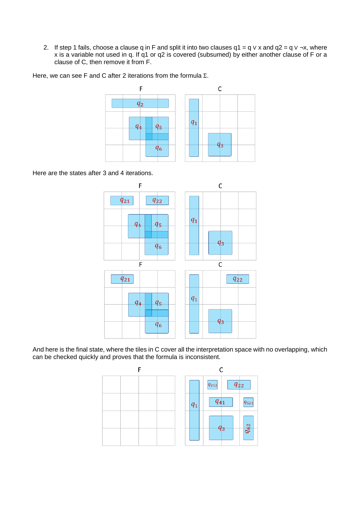2. If step 1 fails, choose a clause q in F and split it into two clauses q1 = q ∨ x and q2 = q ∨ ¬x, where x is a variable not used in q. If q1 or q2 is covered (subsumed) by either another clause of F or a clause of C, then remove it from F.

Here, we can see F and C after 2 iterations from the formula Σ.



Here are the states after 3 and 4 iterations.



And here is the final state, where the tiles in C cover all the interpretation space with no overlapping, which can be checked quickly and proves that the formula is inconsistent.